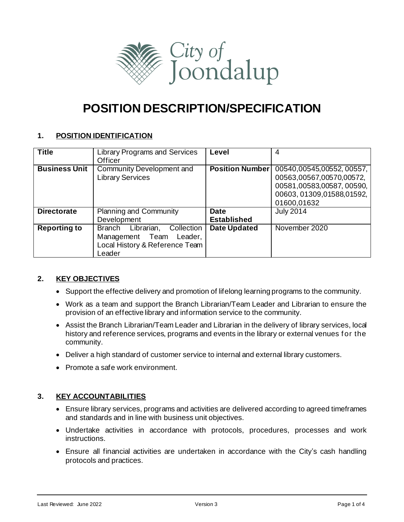

# **POSITION DESCRIPTION/SPECIFICATION**

# **1. POSITION IDENTIFICATION**

| <b>Title</b>         | <b>Library Programs and Services</b><br><b>Officer</b>                                                 | Level                             | 4                                                                                                                              |
|----------------------|--------------------------------------------------------------------------------------------------------|-----------------------------------|--------------------------------------------------------------------------------------------------------------------------------|
| <b>Business Unit</b> | Community Development and<br><b>Library Services</b>                                                   | <b>Position Number</b>            | 00540,00545,00552,00557,<br>00563,00567,00570,00572,<br>00581,00583,00587,00590,<br>00603, 01309, 01588, 01592,<br>01600,01632 |
| <b>Directorate</b>   | Planning and Community<br>Development                                                                  | <b>Date</b><br><b>Established</b> | <b>July 2014</b>                                                                                                               |
| <b>Reporting to</b>  | Branch Librarian,<br>Collection<br>Management Team Leader,<br>Local History & Reference Team<br>Leader | <b>Date Updated</b>               | November 2020                                                                                                                  |

# **2. KEY OBJECTIVES**

- Support the effective delivery and promotion of lifelong learning programs to the community.
- Work as a team and support the Branch Librarian/Team Leader and Librarian to ensure the provision of an effective library and information service to the community.
- Assist the Branch Librarian/Team Leader and Librarian in the delivery of library services, local history and reference services, programs and events in the library or external venues for the community.
- Deliver a high standard of customer service to internal and external library customers.
- Promote a safe work environment.

# **3. KEY ACCOUNTABILITIES**

- Ensure library services, programs and activities are delivered according to agreed timeframes and standards and in line with business unit objectives.
- Undertake activities in accordance with protocols, procedures, processes and work instructions.
- Ensure all financial activities are undertaken in accordance with the City's cash handling protocols and practices.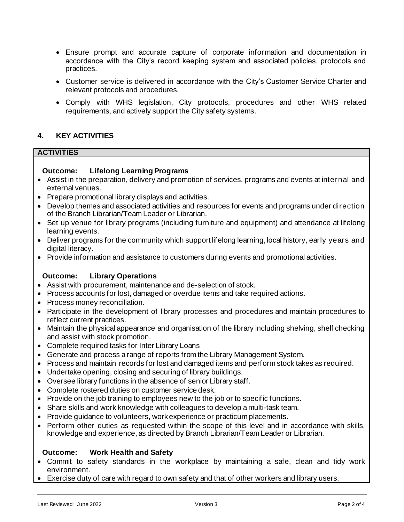- Ensure prompt and accurate capture of corporate information and documentation in accordance with the City's record keeping system and associated policies, protocols and practices.
- Customer service is delivered in accordance with the City's Customer Service Charter and relevant protocols and procedures.
- Comply with WHS legislation, City protocols, procedures and other WHS related requirements, and actively support the City safety systems.

# **4. KEY ACTIVITIES**

# **ACTIVITIES**

# **Outcome: Lifelong Learning Programs**

- Assist in the preparation, delivery and promotion of services, programs and events at internal and external venues.
- Prepare promotional library displays and activities.
- Develop themes and associated activities and resources for events and programs under direction of the Branch Librarian/Team Leader or Librarian.
- Set up venue for library programs (including furniture and equipment) and attendance at lifelong learning events.
- Deliver programs for the community which support lifelong learning, local history, early years and digital literacy.
- Provide information and assistance to customers during events and promotional activities.

# **Outcome: Library Operations**

- Assist with procurement, maintenance and de-selection of stock.
- Process accounts for lost, damaged or overdue items and take required actions.
- Process money reconciliation.
- Participate in the development of library processes and procedures and maintain procedures to reflect current practices.
- Maintain the physical appearance and organisation of the library including shelving, shelf checking and assist with stock promotion.
- Complete required tasks for Inter Library Loans
- Generate and process a range of reports from the Library Management System.
- Process and maintain records for lost and damaged items and perform stock takes as required.
- Undertake opening, closing and securing of library buildings.
- Oversee library functions in the absence of senior Library staff.
- Complete rostered duties on customer service desk.
- Provide on the job training to employees new to the job or to specific functions.
- Share skills and work knowledge with colleagues to develop a multi-task team.
- Provide guidance to volunteers, work experience or practicum placements.
- Perform other duties as requested within the scope of this level and in accordance with skills, knowledge and experience, as directed by Branch Librarian/Team Leader or Librarian.

# **Outcome: Work Health and Safety**

- Commit to safety standards in the workplace by maintaining a safe, clean and tidy work environment.
- Exercise duty of care with regard to own safety and that of other workers and library users.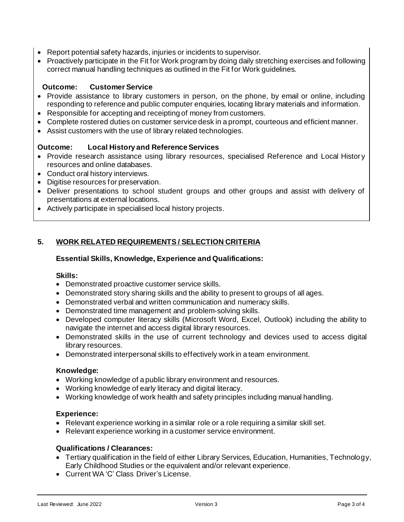- Report potential safety hazards, injuries or incidents to supervisor.
- Proactively participate in the Fit for Work program by doing daily stretching exercises and following correct manual handling techniques as outlined in the Fit for Work guidelines.

# **Outcome: Customer Service**

- Provide assistance to library customers in person, on the phone, by email or online, including responding to reference and public computer enquiries, locating library materials and information.
- Responsible for accepting and receipting of money from customers.
- Complete rostered duties on customer service desk in a prompt, courteous and efficient manner.
- Assist customers with the use of library related technologies.

# **Outcome: Local History and ReferenceServices**

- Provide research assistance using library resources, specialised Reference and Local Histor y resources and online databases.
- Conduct oral history interviews.
- Digitise resources for preservation.
- Deliver presentations to school student groups and other groups and assist with delivery of presentations at external locations.
- Actively participate in specialised local history projects.

# **5. WORK RELATED REQUIREMENTS / SELECTION CRITERIA**

# **Essential Skills, Knowledge, Experience and Qualifications:**

# **Skills:**

- Demonstrated proactive customer service skills.
- Demonstrated story sharing skills and the ability to present to groups of all ages.
- Demonstrated verbal and written communication and numeracy skills.
- Demonstrated time management and problem-solving skills.
- Developed computer literacy skills (Microsoft Word, Excel, Outlook) including the ability to navigate the internet and access digital library resources.
- Demonstrated skills in the use of current technology and devices used to access digital library resources.
- Demonstrated interpersonal skills to effectively work in a team environment.

# **Knowledge:**

- Working knowledge of a public library environment and resources.
- Working knowledge of early literacy and digital literacy.
- Working knowledge of work health and safety principles including manual handling.

# **Experience:**

- Relevant experience working in a similar role or a role requiring a similar skill set.
- Relevant experience working in a customer service environment.

# **Qualifications / Clearances:**

- Tertiary qualification in the field of either Library Services, Education, Humanities, Technology, Early Childhood Studies or the equivalent and/or relevant experience.
- Current WA 'C' Class Driver's License.